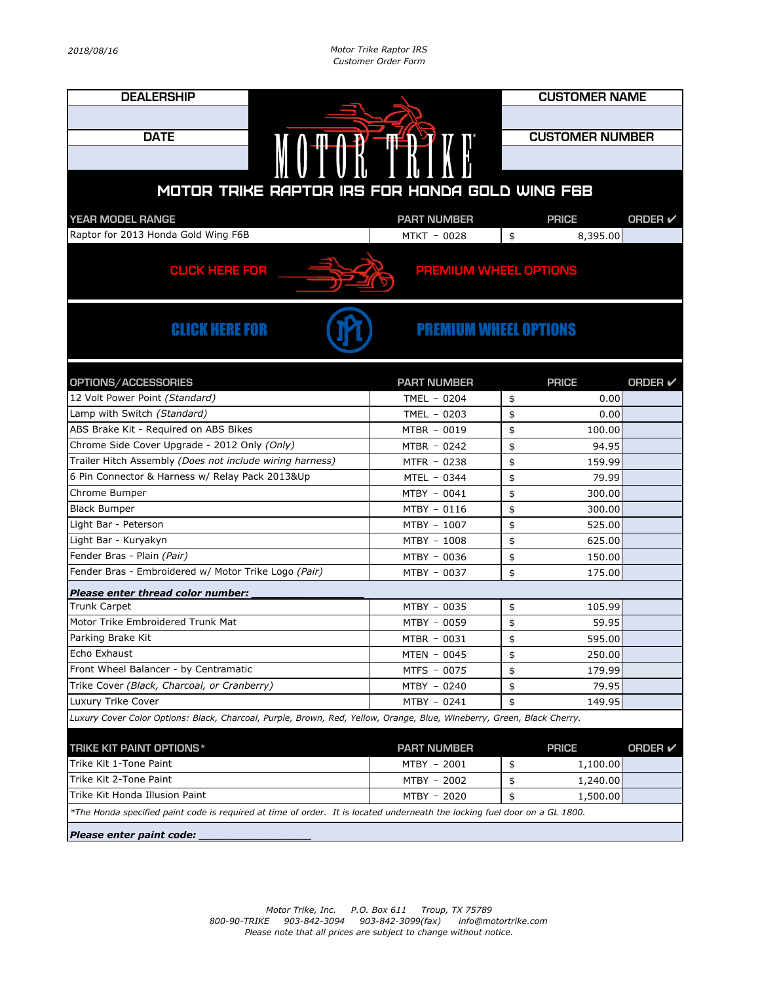| <b>DEALERSHIP</b>                                                                                                          |                    |                        | <b>CUSTOMER NAME</b> |  |  |  |
|----------------------------------------------------------------------------------------------------------------------------|--------------------|------------------------|----------------------|--|--|--|
|                                                                                                                            |                    |                        |                      |  |  |  |
| <b>DATE</b>                                                                                                                |                    | <b>CUSTOMER NUMBER</b> |                      |  |  |  |
|                                                                                                                            |                    |                        |                      |  |  |  |
| MOTOR TRY                                                                                                                  |                    |                        |                      |  |  |  |
|                                                                                                                            |                    |                        |                      |  |  |  |
| MOTOR TRIKE RAPTOR IRS FOR HONDA GOLD WING F6B                                                                             |                    |                        |                      |  |  |  |
| <b>YEAR MODEL RANGE</b>                                                                                                    | <b>PART NUMBER</b> | <b>PRICE</b>           | <b>ORDER</b> ✔       |  |  |  |
| Raptor for 2013 Honda Gold Wing F6B                                                                                        | MTKT - 0028        | 8,395.00<br>\$         |                      |  |  |  |
|                                                                                                                            |                    |                        |                      |  |  |  |
| <b>CLICK HERE FOR</b><br><b>PREMIUM WHEEL OPTIONS</b>                                                                      |                    |                        |                      |  |  |  |
| <b>CLICK HERE FOR</b><br><b>PREMIUM WHEEL OPTIONS</b>                                                                      |                    |                        |                      |  |  |  |
| OPTIONS/ACCESSORIES                                                                                                        | <b>PART NUMBER</b> | <b>PRICE</b>           | <b>ORDER</b> ✔       |  |  |  |
| 12 Volt Power Point (Standard)                                                                                             | TMEL $-0204$       | 0.00<br>\$             |                      |  |  |  |
| Lamp with Switch (Standard)                                                                                                | TMEL $-0203$       | \$<br>0.00             |                      |  |  |  |
| ABS Brake Kit - Required on ABS Bikes                                                                                      | MTBR - 0019        | \$<br>100.00           |                      |  |  |  |
| Chrome Side Cover Upgrade - 2012 Only (Only)                                                                               | $MTBR - 0242$      | \$<br>94.95            |                      |  |  |  |
| Trailer Hitch Assembly (Does not include wiring harness)                                                                   | MTFR - 0238        | \$<br>159.99           |                      |  |  |  |
| 6 Pin Connector & Harness w/ Relay Pack 2013&Up                                                                            | MTEL - 0344        | \$<br>79.99            |                      |  |  |  |
| Chrome Bumper                                                                                                              | MTBY - 0041        | \$<br>300.00           |                      |  |  |  |
| <b>Black Bumper</b>                                                                                                        | MTBY - 0116        | 300.00<br>\$           |                      |  |  |  |
| Light Bar - Peterson                                                                                                       | MTBY - 1007        | 525.00<br>\$           |                      |  |  |  |
| Light Bar - Kuryakyn                                                                                                       | MTBY - 1008        | \$<br>625.00           |                      |  |  |  |
| Fender Bras - Plain (Pair)                                                                                                 | MTBY - 0036        | \$<br>150.00           |                      |  |  |  |
| Fender Bras - Embroidered w/ Motor Trike Logo (Pair)                                                                       | MTBY - 0037        | \$<br>175.00           |                      |  |  |  |
| Please enter thread color number:                                                                                          |                    |                        |                      |  |  |  |
| <b>Trunk Carpet</b>                                                                                                        | MTBY - 0035        | 105.99<br>\$           |                      |  |  |  |
| Motor Trike Embroidered Trunk Mat                                                                                          | MTBY - 0059        | \$<br>59.95            |                      |  |  |  |
| Parking Brake Kit                                                                                                          | MTBR - 0031        | \$<br>595.00           |                      |  |  |  |
| Echo Exhaust                                                                                                               | $MTEN - 0045$      | \$<br>250.00           |                      |  |  |  |
| Front Wheel Balancer - by Centramatic                                                                                      | MTFS - 0075        | \$<br>179.99           |                      |  |  |  |
| Trike Cover (Black, Charcoal, or Cranberry)                                                                                | $MTBY - 0240$      | \$<br>79.95            |                      |  |  |  |
| Luxury Trike Cover                                                                                                         | MTBY - 0241        | \$<br>149.95           |                      |  |  |  |
| Luxury Cover Color Options: Black, Charcoal, Purple, Brown, Red, Yellow, Orange, Blue, Wineberry, Green, Black Cherry.     |                    |                        |                      |  |  |  |
| <b>TRIKE KIT PAINT OPTIONS*</b>                                                                                            | <b>PART NUMBER</b> | <b>PRICE</b>           | <b>ORDER</b> ✔       |  |  |  |
| Trike Kit 1-Tone Paint                                                                                                     | MTBY - 2001        | \$<br>1,100.00         |                      |  |  |  |
| Trike Kit 2-Tone Paint                                                                                                     | MTBY - 2002        | \$<br>1,240.00         |                      |  |  |  |
| Trike Kit Honda Illusion Paint                                                                                             | MTBY - 2020        | \$<br>1,500.00         |                      |  |  |  |
| *The Honda specified paint code is required at time of order. It is located underneath the locking fuel door on a GL 1800. |                    |                        |                      |  |  |  |
| Please enter paint code:                                                                                                   |                    |                        |                      |  |  |  |